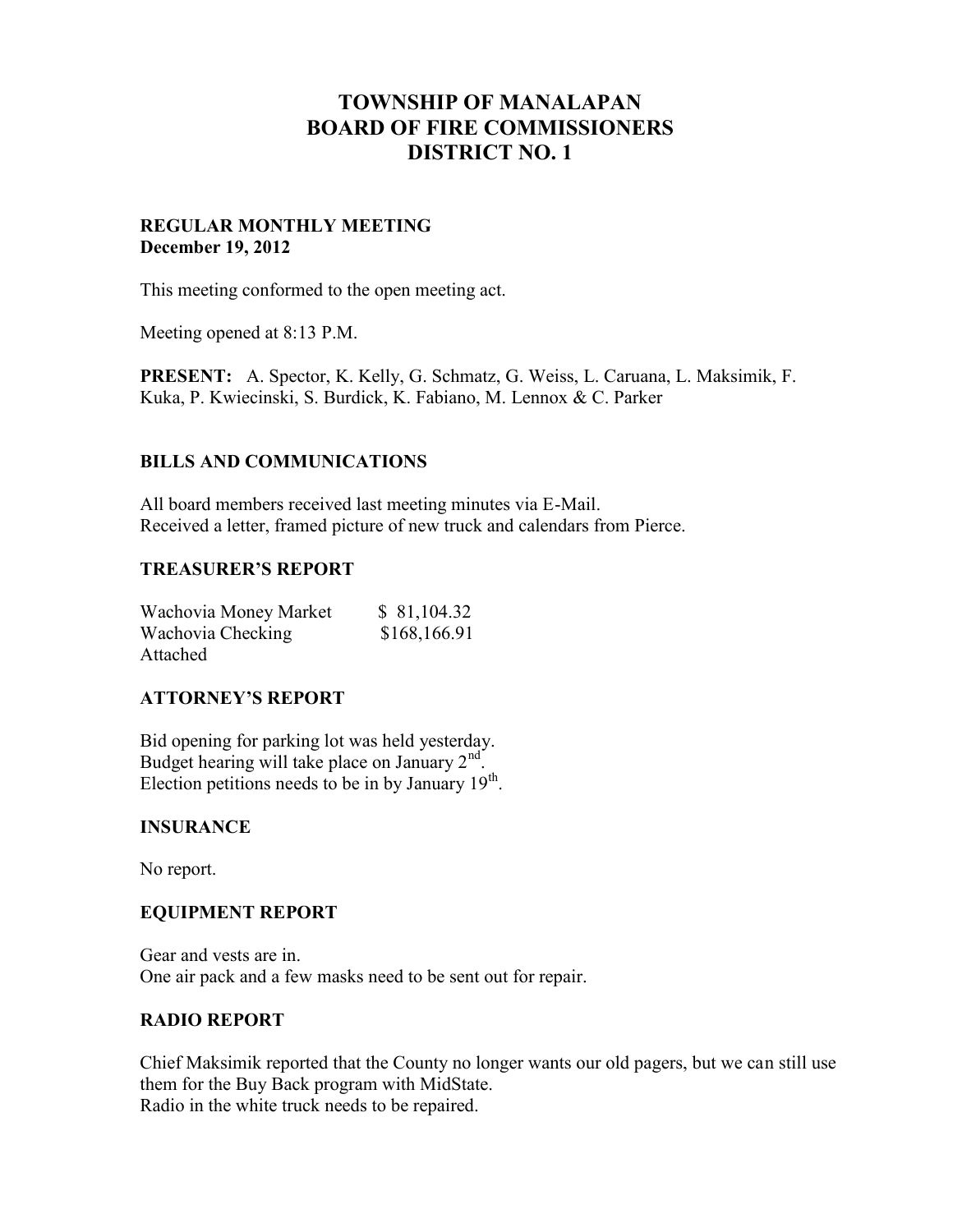# **TOWNSHIP OF MANALAPAN BOARD OF FIRE COMMISSIONERS DISTRICT NO. 1**

#### **REGULAR MONTHLY MEETING December 19, 2012**

This meeting conformed to the open meeting act.

Meeting opened at 8:13 P.M.

**PRESENT:** A. Spector, K. Kelly, G. Schmatz, G. Weiss, L. Caruana, L. Maksimik, F. Kuka, P. Kwiecinski, S. Burdick, K. Fabiano, M. Lennox & C. Parker

## **BILLS AND COMMUNICATIONS**

All board members received last meeting minutes via E-Mail. Received a letter, framed picture of new truck and calendars from Pierce.

#### **TREASURER'S REPORT**

| Wachovia Money Market | \$81,104.32  |
|-----------------------|--------------|
| Wachovia Checking     | \$168,166.91 |
| Attached              |              |

# **ATTORNEY'S REPORT**

Bid opening for parking lot was held yesterday. Budget hearing will take place on January 2<sup>nd</sup>. Election petitions needs to be in by January  $19<sup>th</sup>$ .

#### **INSURANCE**

No report.

#### **EQUIPMENT REPORT**

Gear and vests are in. One air pack and a few masks need to be sent out for repair.

#### **RADIO REPORT**

Chief Maksimik reported that the County no longer wants our old pagers, but we can still use them for the Buy Back program with MidState. Radio in the white truck needs to be repaired.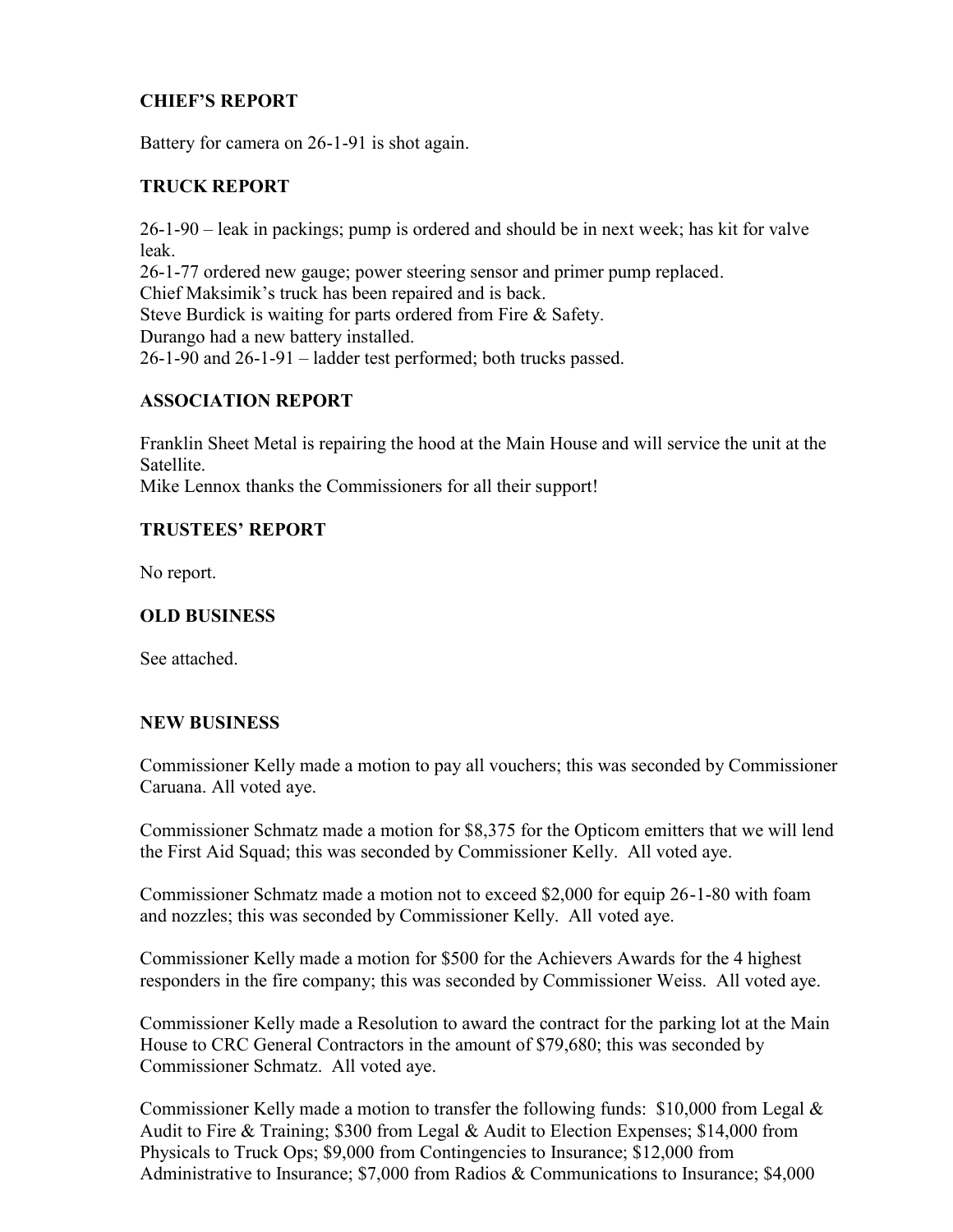# **CHIEF'S REPORT**

Battery for camera on 26-1-91 is shot again.

#### **TRUCK REPORT**

26-1-90 – leak in packings; pump is ordered and should be in next week; has kit for valve leak. 26-1-77 ordered new gauge; power steering sensor and primer pump replaced. Chief Maksimik's truck has been repaired and is back. Steve Burdick is waiting for parts ordered from Fire & Safety. Durango had a new battery installed. 26-1-90 and 26-1-91 – ladder test performed; both trucks passed.

## **ASSOCIATION REPORT**

Franklin Sheet Metal is repairing the hood at the Main House and will service the unit at the **Satellite** Mike Lennox thanks the Commissioners for all their support!

## **TRUSTEES' REPORT**

No report.

# **OLD BUSINESS**

See attached.

#### **NEW BUSINESS**

Commissioner Kelly made a motion to pay all vouchers; this was seconded by Commissioner Caruana. All voted aye.

Commissioner Schmatz made a motion for \$8,375 for the Opticom emitters that we will lend the First Aid Squad; this was seconded by Commissioner Kelly. All voted aye.

Commissioner Schmatz made a motion not to exceed \$2,000 for equip 26-1-80 with foam and nozzles; this was seconded by Commissioner Kelly. All voted aye.

Commissioner Kelly made a motion for \$500 for the Achievers Awards for the 4 highest responders in the fire company; this was seconded by Commissioner Weiss. All voted aye.

Commissioner Kelly made a Resolution to award the contract for the parking lot at the Main House to CRC General Contractors in the amount of \$79,680; this was seconded by Commissioner Schmatz. All voted aye.

Commissioner Kelly made a motion to transfer the following funds: \$10,000 from Legal  $\&$ Audit to Fire & Training; \$300 from Legal & Audit to Election Expenses; \$14,000 from Physicals to Truck Ops; \$9,000 from Contingencies to Insurance; \$12,000 from Administrative to Insurance; \$7,000 from Radios & Communications to Insurance; \$4,000